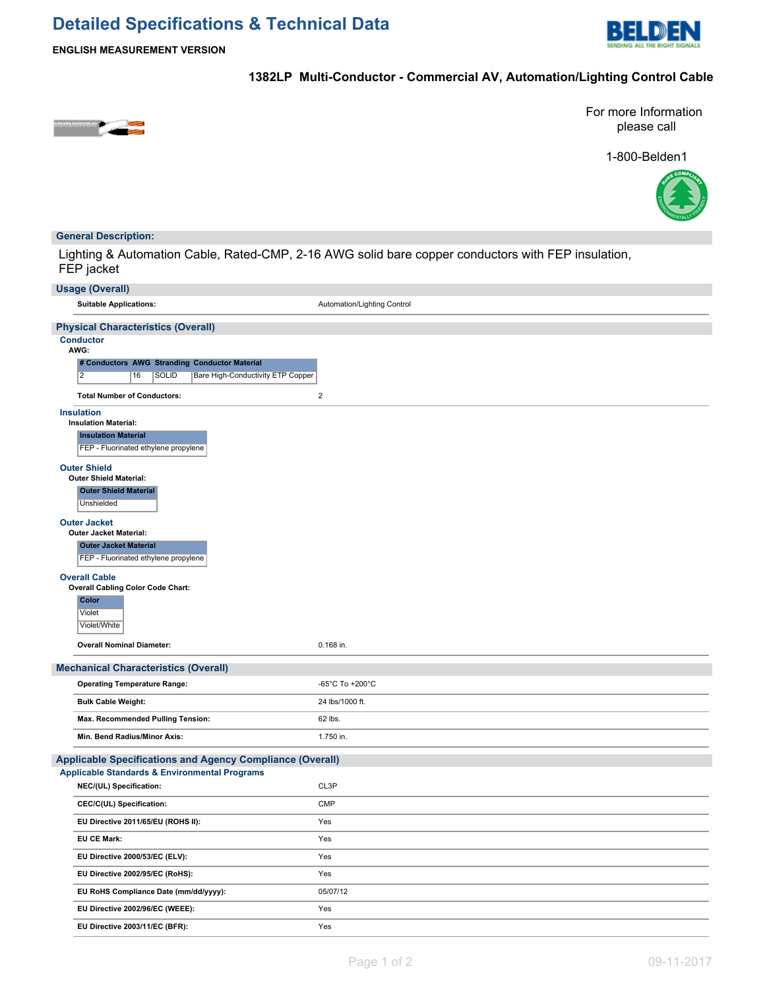# **Detailed Specifications & Technical Data**



**ENGLISH MEASUREMENT VERSION**

# **1382LP Multi-Conductor - Commercial AV, Automation/Lighting Control Cable**



For more Information please call

1-800-Belden1



## **General Description:**

Lighting & Automation Cable, Rated-CMP, 2-16 AWG solid bare copper conductors with FEP insulation, FEP jacket

| <b>Usage (Overall)</b>                                                                                                                                 |                             |  |  |  |
|--------------------------------------------------------------------------------------------------------------------------------------------------------|-----------------------------|--|--|--|
| <b>Suitable Applications:</b>                                                                                                                          | Automation/Lighting Control |  |  |  |
| <b>Physical Characteristics (Overall)</b>                                                                                                              |                             |  |  |  |
| <b>Conductor</b><br>AWG:<br># Conductors AWG Stranding Conductor Material<br>$\overline{2}$<br>16<br><b>SOLID</b><br>Bare High-Conductivity ETP Copper |                             |  |  |  |
| <b>Total Number of Conductors:</b>                                                                                                                     | $\mathbf 2$                 |  |  |  |
| <b>Insulation</b><br><b>Insulation Material:</b><br><b>Insulation Material</b><br>FEP - Fluorinated ethylene propylene                                 |                             |  |  |  |
| <b>Outer Shield</b><br><b>Outer Shield Material:</b><br><b>Outer Shield Material</b><br>Unshielded                                                     |                             |  |  |  |
| <b>Outer Jacket</b><br>Outer Jacket Material:<br><b>Outer Jacket Material</b><br>FEP - Fluorinated ethylene propylene                                  |                             |  |  |  |
| <b>Overall Cable</b><br><b>Overall Cabling Color Code Chart:</b><br><b>Color</b><br>Violet<br>Violet/White                                             |                             |  |  |  |
| <b>Overall Nominal Diameter:</b>                                                                                                                       | 0.168 in.                   |  |  |  |
| <b>Mechanical Characteristics (Overall)</b>                                                                                                            |                             |  |  |  |
| <b>Operating Temperature Range:</b>                                                                                                                    | -65°C To +200°C             |  |  |  |
| <b>Bulk Cable Weight:</b>                                                                                                                              | 24 lbs/1000 ft.             |  |  |  |
| Max. Recommended Pulling Tension:                                                                                                                      | 62 lbs.                     |  |  |  |
| Min. Bend Radius/Minor Axis:                                                                                                                           | 1.750 in.                   |  |  |  |
| <b>Applicable Specifications and Agency Compliance (Overall)</b>                                                                                       |                             |  |  |  |
| <b>Applicable Standards &amp; Environmental Programs</b>                                                                                               |                             |  |  |  |
| NEC/(UL) Specification:                                                                                                                                | CL3P                        |  |  |  |
| CEC/C(UL) Specification:                                                                                                                               | <b>CMP</b>                  |  |  |  |
| EU Directive 2011/65/EU (ROHS II):                                                                                                                     | Yes                         |  |  |  |
| <b>EU CE Mark:</b>                                                                                                                                     | Yes                         |  |  |  |
| EU Directive 2000/53/EC (ELV):                                                                                                                         | Yes                         |  |  |  |
| EU Directive 2002/95/EC (RoHS):                                                                                                                        | Yes                         |  |  |  |
| EU RoHS Compliance Date (mm/dd/yyyy):                                                                                                                  | 05/07/12                    |  |  |  |
| EU Directive 2002/96/EC (WEEE):                                                                                                                        | Yes                         |  |  |  |
| EU Directive 2003/11/EC (BFR):                                                                                                                         | Yes                         |  |  |  |